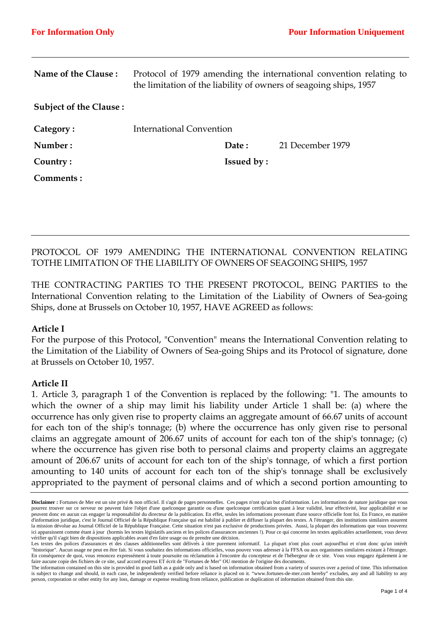|                               | Protocol of 1979 amending the international convention relating to<br>the limitation of the liability of owners of seagoing ships, 1957 |                   |                  |
|-------------------------------|-----------------------------------------------------------------------------------------------------------------------------------------|-------------------|------------------|
| Name of the Clause:           |                                                                                                                                         |                   |                  |
| <b>Subject of the Clause:</b> |                                                                                                                                         |                   |                  |
| Category:                     | International Convention                                                                                                                |                   |                  |
| Number:                       |                                                                                                                                         | Date:             | 21 December 1979 |
| Country:                      |                                                                                                                                         | <b>Issued by:</b> |                  |
| Comments:                     |                                                                                                                                         |                   |                  |
|                               |                                                                                                                                         |                   |                  |

PROTOCOL OF 1979 AMENDING THE INTERNATIONAL CONVENTION RELATING TOTHE LIMITATION OF THE LIABILITY OF OWNERS OF SEAGOING SHIPS, 1957

THE CONTRACTING PARTIES TO THE PRESENT PROTOCOL, BEING PARTIES to the International Convention relating to the Limitation of the Liability of Owners of Sea-going Ships, done at Brussels on October 10, 1957, HAVE AGREED as follows:

### **Article I**

For the purpose of this Protocol, "Convention" means the International Convention relating to the Limitation of the Liability of Owners of Sea-going Ships and its Protocol of signature, done at Brussels on October 10, 1957.

### **Article II**

1. Article 3, paragraph 1 of the Convention is replaced by the following: "1. The amounts to which the owner of a ship may limit his liability under Article 1 shall be: (a) where the occurrence has only given rise to property claims an aggregate amount of 66.67 units of account for each ton of the ship's tonnage; (b) where the occurrence has only given rise to personal claims an aggregate amount of 206.67 units of account for each ton of the ship's tonnage; (c) where the occurrence has given rise both to personal claims and property claims an aggregate amount of 206.67 units of account for each ton of the ship's tonnage, of which a first portion amounting to 140 units of account for each ton of the ship's tonnage shall be exclusively appropriated to the payment of personal claims and of which a second portion amounting to

**Disclaimer :** Fortunes de Mer est un site privé & non officiel. Il s'agit de pages personnelles. Ces pages n'ont qu'un but d'information. Les informations de nature juridique que vous pourrez trouver sur ce serveur ne peuvent faire l'objet d'une quelconque garantie ou d'une quelconque certification quant à leur validité, leur effectivité, leur applicabilité et ne peuvent donc en aucun cas engager la responsabilité du directeur de la publication. En effet, seules les informations provenant d'une source officielle font foi. En France, en matière d'information juridique, c'est le Journal Officiel de la République Française qui est habilité à publier et diffuser la plupart des textes. A l'étranger, des institutions similaires assurent la mission dévolue au Journal Officiel de la République Française. Cette situation n'est pas exclusive de productions privées. Aussi, la plupart des informations que vous trouverez ici apparaissent comme étant à jour (hormis les textes législatifs anciens et les polices d'assurances anciennes !). Pour ce qui concerne les textes applicables actuellement, vous devez vérifier qu'il s'agit bien de dispositions applicables avant d'en faire usage ou de prendre une décision.

Les textes des polices d'assurances et des clauses additionnelles sont délivrés à titre purement informatif. La plupart n'ont plus court aujourd'hui et n'ont donc qu'un intérêt "historique". Aucun usage ne peut en être fait. Si vous souhaitez des informations officielles, vous pouvez vous adresser à la FFSA ou aux organismes similaires existant à l'étranger. En conséquence de quoi, vous renoncez expressément à toute poursuite ou réclamation à l'encontre du concepteur et de l'hébergeur de ce site. Vous vous engagez également à ne faire aucune copie des fichiers de ce site, sauf accord express ET écrit de "Fortunes de Mer" OU mention de l'origine des documents.

The information contained on this site is provided in good faith as a guide only and is based on information obtained from a variety of sources over a period of time. This information is subject to change and should, in each case, be independently verified before reliance is placed on it. "www.fortunes-de-mer.com hereby" excludes, any and all liability to any person, corporation or other entity for any loss, damage or expense resulting from reliance, publication or duplication of information obtained from this site.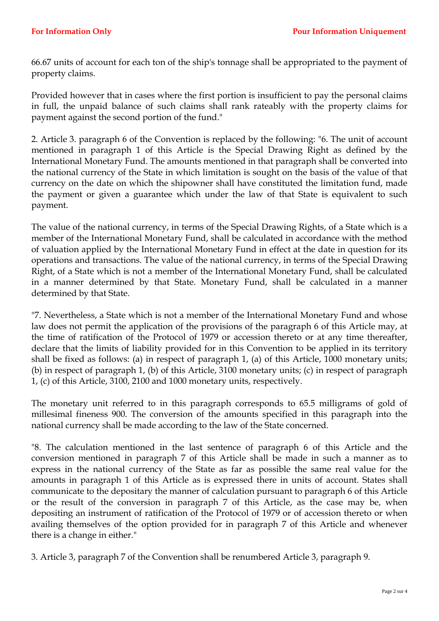66.67 units of account for each ton of the ship's tonnage shall be appropriated to the payment of property claims.

Provided however that in cases where the first portion is insufficient to pay the personal claims in full, the unpaid balance of such claims shall rank rateably with the property claims for payment against the second portion of the fund."

2. Article 3. paragraph 6 of the Convention is replaced by the following: "6. The unit of account mentioned in paragraph 1 of this Article is the Special Drawing Right as defined by the International Monetary Fund. The amounts mentioned in that paragraph shall be converted into the national currency of the State in which limitation is sought on the basis of the value of that currency on the date on which the shipowner shall have constituted the limitation fund, made the payment or given a guarantee which under the law of that State is equivalent to such payment.

The value of the national currency, in terms of the Special Drawing Rights, of a State which is a member of the International Monetary Fund, shall be calculated in accordance with the method of valuation applied by the International Monetary Fund in effect at the date in question for its operations and transactions. The value of the national currency, in terms of the Special Drawing Right, of a State which is not a member of the International Monetary Fund, shall be calculated in a manner determined by that State. Monetary Fund, shall be calculated in a manner determined by that State.

"7. Nevertheless, a State which is not a member of the International Monetary Fund and whose law does not permit the application of the provisions of the paragraph 6 of this Article may, at the time of ratification of the Protocol of 1979 or accession thereto or at any time thereafter, declare that the limits of liability provided for in this Convention to be applied in its territory shall be fixed as follows: (a) in respect of paragraph 1, (a) of this Article, 1000 monetary units; (b) in respect of paragraph 1, (b) of this Article, 3100 monetary units; (c) in respect of paragraph 1, (c) of this Article, 3100, 2100 and 1000 monetary units, respectively.

The monetary unit referred to in this paragraph corresponds to 65.5 milligrams of gold of millesimal fineness 900. The conversion of the amounts specified in this paragraph into the national currency shall be made according to the law of the State concerned.

"8. The calculation mentioned in the last sentence of paragraph 6 of this Article and the conversion mentioned in paragraph 7 of this Article shall be made in such a manner as to express in the national currency of the State as far as possible the same real value for the amounts in paragraph 1 of this Article as is expressed there in units of account. States shall communicate to the depositary the manner of calculation pursuant to paragraph 6 of this Article or the result of the conversion in paragraph 7 of this Article, as the case may be, when depositing an instrument of ratification of the Protocol of 1979 or of accession thereto or when availing themselves of the option provided for in paragraph 7 of this Article and whenever there is a change in either."

3. Article 3, paragraph 7 of the Convention shall be renumbered Article 3, paragraph 9.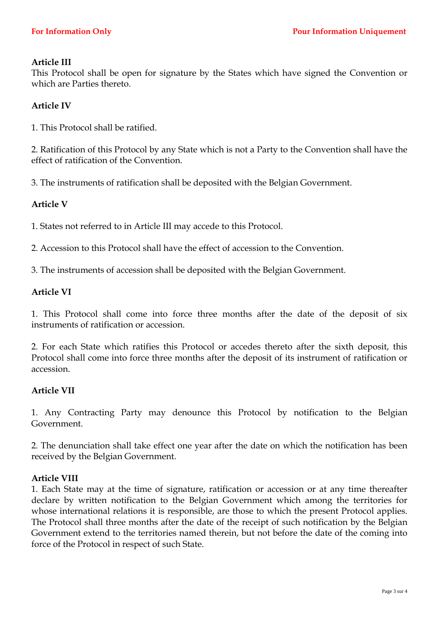## **Article III**

This Protocol shall be open for signature by the States which have signed the Convention or which are Parties thereto.

# **Article IV**

1. This Protocol shall be ratified.

2. Ratification of this Protocol by any State which is not a Party to the Convention shall have the effect of ratification of the Convention.

3. The instruments of ratification shall be deposited with the Belgian Government.

## **Article V**

1. States not referred to in Article III may accede to this Protocol.

2. Accession to this Protocol shall have the effect of accession to the Convention.

3. The instruments of accession shall be deposited with the Belgian Government.

#### **Article VI**

1. This Protocol shall come into force three months after the date of the deposit of six instruments of ratification or accession.

2. For each State which ratifies this Protocol or accedes thereto after the sixth deposit, this Protocol shall come into force three months after the deposit of its instrument of ratification or accession.

### **Article VII**

1. Any Contracting Party may denounce this Protocol by notification to the Belgian Government.

2. The denunciation shall take effect one year after the date on which the notification has been received by the Belgian Government.

### **Article VIII**

1. Each State may at the time of signature, ratification or accession or at any time thereafter declare by written notification to the Belgian Government which among the territories for whose international relations it is responsible, are those to which the present Protocol applies. The Protocol shall three months after the date of the receipt of such notification by the Belgian Government extend to the territories named therein, but not before the date of the coming into force of the Protocol in respect of such State.